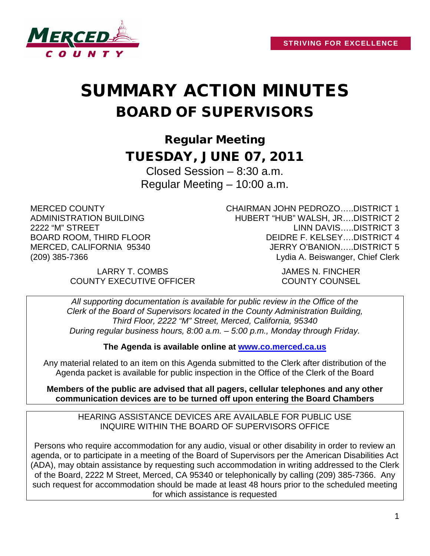

# SUMMARY ACTION MINUTES BOARD OF SUPERVISORS

Regular Meeting TUESDAY, JUNE 07, 2011

Closed Session – 8:30 a.m. Regular Meeting – 10:00 a.m.

MERCED COUNTY ADMINISTRATION BUILDING 2222 "M" STREET BOARD ROOM, THIRD FLOOR MERCED, CALIFORNIA 95340 (209) 385-7366

CHAIRMAN JOHN PEDROZO…..DISTRICT 1 HUBERT "HUB" WALSH, JR….DISTRICT 2 LINN DAVIS…..DISTRICT 3 DEIDRE F. KELSEY….DISTRICT 4 JERRY O'BANION…..DISTRICT 5 Lydia A. Beiswanger, Chief Clerk

LARRY T. COMBS JAMES N. FINCHER COUNTY EXECUTIVE OFFICER COUNTY COUNSEL

*All supporting documentation is available for public review in the Office of the Clerk of the Board of Supervisors located in the County Administration Building, Third Floor, 2222 "M" Street, Merced, California, 95340 During regular business hours, 8:00 a.m. – 5:00 p.m., Monday through Friday.*

**The Agenda is available online at [www.co.merced.ca.us](http://www.co.merced.ca.us/)**

Any material related to an item on this Agenda submitted to the Clerk after distribution of the Agenda packet is available for public inspection in the Office of the Clerk of the Board

**Members of the public are advised that all pagers, cellular telephones and any other communication devices are to be turned off upon entering the Board Chambers**

HEARING ASSISTANCE DEVICES ARE AVAILABLE FOR PUBLIC USE INQUIRE WITHIN THE BOARD OF SUPERVISORS OFFICE

Persons who require accommodation for any audio, visual or other disability in order to review an agenda, or to participate in a meeting of the Board of Supervisors per the American Disabilities Act (ADA), may obtain assistance by requesting such accommodation in writing addressed to the Clerk of the Board, 2222 M Street, Merced, CA 95340 or telephonically by calling (209) 385-7366. Any such request for accommodation should be made at least 48 hours prior to the scheduled meeting for which assistance is requested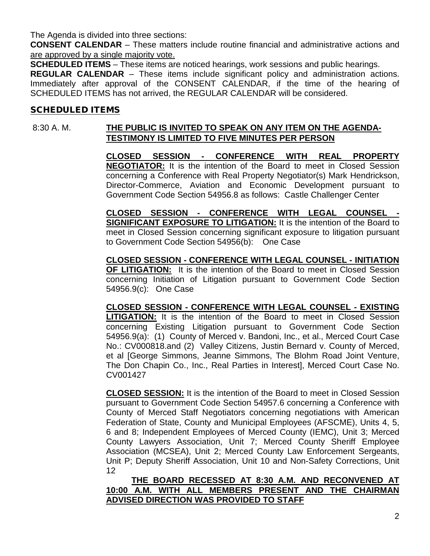The Agenda is divided into three sections:

**CONSENT CALENDAR** – These matters include routine financial and administrative actions and are approved by a single majority vote.

**SCHEDULED ITEMS** – These items are noticed hearings, work sessions and public hearings.

**REGULAR CALENDAR** – These items include significant policy and administration actions. Immediately after approval of the CONSENT CALENDAR, if the time of the hearing of SCHEDULED ITEMS has not arrived, the REGULAR CALENDAR will be considered.

#### SCHEDULED ITEMS

# 8:30 A. M. **THE PUBLIC IS INVITED TO SPEAK ON ANY ITEM ON THE AGENDA-TESTIMONY IS LIMITED TO FIVE MINUTES PER PERSON**

**CLOSED SESSION - CONFERENCE WITH REAL PROPERTY NEGOTIATOR:** It is the intention of the Board to meet in Closed Session concerning a Conference with Real Property Negotiator(s) Mark Hendrickson, Director-Commerce, Aviation and Economic Development pursuant to Government Code Section 54956.8 as follows: Castle Challenger Center

**CLOSED SESSION - CONFERENCE WITH LEGAL COUNSEL - SIGNIFICANT EXPOSURE TO LITIGATION:** It is the intention of the Board to meet in Closed Session concerning significant exposure to litigation pursuant to Government Code Section 54956(b): One Case

**CLOSED SESSION - CONFERENCE WITH LEGAL COUNSEL - INITIATION OF LITIGATION:** It is the intention of the Board to meet in Closed Session concerning Initiation of Litigation pursuant to Government Code Section 54956.9(c): One Case

**CLOSED SESSION - CONFERENCE WITH LEGAL COUNSEL - EXISTING LITIGATION:** It is the intention of the Board to meet in Closed Session concerning Existing Litigation pursuant to Government Code Section 54956.9(a): (1) County of Merced v. Bandoni, Inc., et al., Merced Court Case No.: CV000818.and (2) Valley Citizens, Justin Bernard v. County of Merced, et al [George Simmons, Jeanne Simmons, The Blohm Road Joint Venture, The Don Chapin Co., Inc., Real Parties in Interest], Merced Court Case No. CV001427

**CLOSED SESSION:** It is the intention of the Board to meet in Closed Session pursuant to Government Code Section 54957.6 concerning a Conference with County of Merced Staff Negotiators concerning negotiations with American Federation of State, County and Municipal Employees (AFSCME), Units 4, 5, 6 and 8; Independent Employees of Merced County (IEMC), Unit 3; Merced County Lawyers Association, Unit 7; Merced County Sheriff Employee Association (MCSEA), Unit 2; Merced County Law Enforcement Sergeants, Unit P; Deputy Sheriff Association, Unit 10 and Non-Safety Corrections, Unit 12

## **THE BOARD RECESSED AT 8:30 A.M. AND RECONVENED AT 10:00 A.M. WITH ALL MEMBERS PRESENT AND THE CHAIRMAN ADVISED DIRECTION WAS PROVIDED TO STAFF**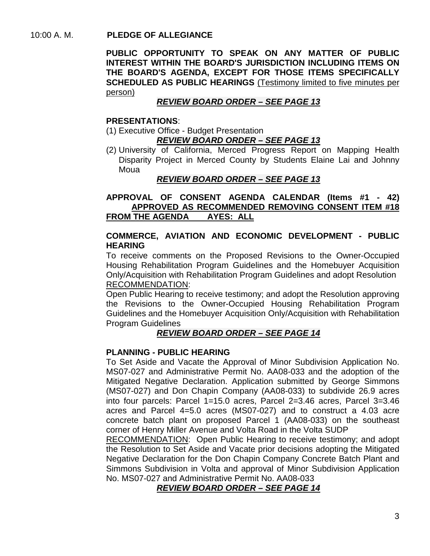#### 10:00 A. M. **PLEDGE OF ALLEGIANCE**

**PUBLIC OPPORTUNITY TO SPEAK ON ANY MATTER OF PUBLIC INTEREST WITHIN THE BOARD'S JURISDICTION INCLUDING ITEMS ON THE BOARD'S AGENDA, EXCEPT FOR THOSE ITEMS SPECIFICALLY SCHEDULED AS PUBLIC HEARINGS** (Testimony limited to five minutes per person)

# *REVIEW BOARD ORDER – SEE PAGE 13*

#### **PRESENTATIONS**:

(1) Executive Office - Budget Presentation

# *REVIEW BOARD ORDER – SEE PAGE 13*

(2) University of California, Merced Progress Report on Mapping Health Disparity Project in Merced County by Students Elaine Lai and Johnny Moua

#### *REVIEW BOARD ORDER – SEE PAGE 13*

**APPROVAL OF CONSENT AGENDA CALENDAR (Items #1 - 42) APPROVED AS RECOMMENDED REMOVING CONSENT ITEM #18 FROM THE AGENDA** 

#### **COMMERCE, AVIATION AND ECONOMIC DEVELOPMENT - PUBLIC HEARING**

To receive comments on the Proposed Revisions to the Owner-Occupied Housing Rehabilitation Program Guidelines and the Homebuyer Acquisition Only/Acquisition with Rehabilitation Program Guidelines and adopt Resolution RECOMMENDATION:

Open Public Hearing to receive testimony; and adopt the Resolution approving the Revisions to the Owner-Occupied Housing Rehabilitation Program Guidelines and the Homebuyer Acquisition Only/Acquisition with Rehabilitation Program Guidelines

# *REVIEW BOARD ORDER – SEE PAGE 14*

#### **PLANNING - PUBLIC HEARING**

To Set Aside and Vacate the Approval of Minor Subdivision Application No. MS07-027 and Administrative Permit No. AA08-033 and the adoption of the Mitigated Negative Declaration. Application submitted by George Simmons (MS07-027) and Don Chapin Company (AA08-033) to subdivide 26.9 acres into four parcels: Parcel 1=15.0 acres, Parcel 2=3.46 acres, Parcel 3=3.46 acres and Parcel 4=5.0 acres (MS07-027) and to construct a 4.03 acre concrete batch plant on proposed Parcel 1 (AA08-033) on the southeast corner of Henry Miller Avenue and Volta Road in the Volta SUDP

RECOMMENDATION: Open Public Hearing to receive testimony; and adopt the Resolution to Set Aside and Vacate prior decisions adopting the Mitigated Negative Declaration for the Don Chapin Company Concrete Batch Plant and Simmons Subdivision in Volta and approval of Minor Subdivision Application No. MS07-027 and Administrative Permit No. AA08-033

# *REVIEW BOARD ORDER – SEE PAGE 14*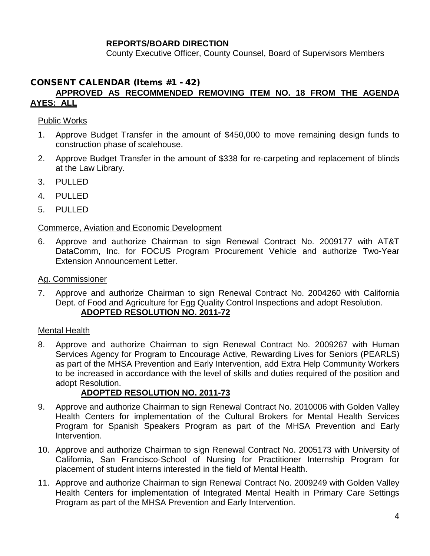# **REPORTS/BOARD DIRECTION**

County Executive Officer, County Counsel, Board of Supervisors Members

# CONSENT CALENDAR (Items #1 - 42)

#### **APPROVED AS RECOMMENDED REMOVING ITEM NO. 18 FROM THE AGENDA AYES: ALL**

#### Public Works

- 1. Approve Budget Transfer in the amount of \$450,000 to move remaining design funds to construction phase of scalehouse.
- 2. Approve Budget Transfer in the amount of \$338 for re-carpeting and replacement of blinds at the Law Library.
- 3. PULLED
- 4. PULLED
- 5. PULLED

#### Commerce, Aviation and Economic Development

6. Approve and authorize Chairman to sign Renewal Contract No. 2009177 with AT&T DataComm, Inc. for FOCUS Program Procurement Vehicle and authorize Two-Year Extension Announcement Letter.

#### Ag. Commissioner

7. Approve and authorize Chairman to sign Renewal Contract No. 2004260 with California Dept. of Food and Agriculture for Egg Quality Control Inspections and adopt Resolution. **ADOPTED RESOLUTION NO. 2011-72**

#### Mental Health

8. Approve and authorize Chairman to sign Renewal Contract No. 2009267 with Human Services Agency for Program to Encourage Active, Rewarding Lives for Seniors (PEARLS) as part of the MHSA Prevention and Early Intervention, add Extra Help Community Workers to be increased in accordance with the level of skills and duties required of the position and adopt Resolution.

#### **ADOPTED RESOLUTION NO. 2011-73**

- 9. Approve and authorize Chairman to sign Renewal Contract No. 2010006 with Golden Valley Health Centers for implementation of the Cultural Brokers for Mental Health Services Program for Spanish Speakers Program as part of the MHSA Prevention and Early Intervention.
- 10. Approve and authorize Chairman to sign Renewal Contract No. 2005173 with University of California, San Francisco-School of Nursing for Practitioner Internship Program for placement of student interns interested in the field of Mental Health.
- 11. Approve and authorize Chairman to sign Renewal Contract No. 2009249 with Golden Valley Health Centers for implementation of Integrated Mental Health in Primary Care Settings Program as part of the MHSA Prevention and Early Intervention.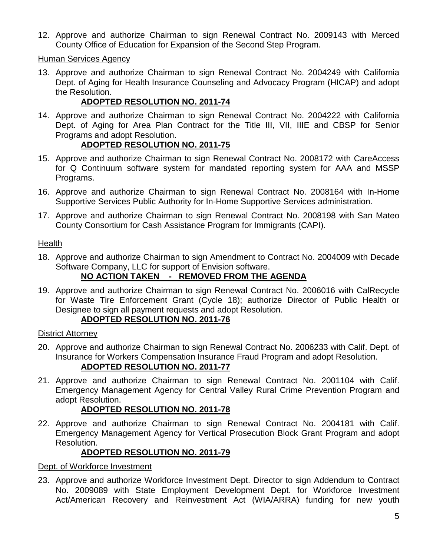12. Approve and authorize Chairman to sign Renewal Contract No. 2009143 with Merced County Office of Education for Expansion of the Second Step Program.

#### Human Services Agency

13. Approve and authorize Chairman to sign Renewal Contract No. 2004249 with California Dept. of Aging for Health Insurance Counseling and Advocacy Program (HICAP) and adopt the Resolution.

# **ADOPTED RESOLUTION NO. 2011-74**

14. Approve and authorize Chairman to sign Renewal Contract No. 2004222 with California Dept. of Aging for Area Plan Contract for the Title III, VII, IIIE and CBSP for Senior Programs and adopt Resolution.

# **ADOPTED RESOLUTION NO. 2011-75**

- 15. Approve and authorize Chairman to sign Renewal Contract No. 2008172 with CareAccess for Q Continuum software system for mandated reporting system for AAA and MSSP Programs.
- 16. Approve and authorize Chairman to sign Renewal Contract No. 2008164 with In-Home Supportive Services Public Authority for In-Home Supportive Services administration.
- 17. Approve and authorize Chairman to sign Renewal Contract No. 2008198 with San Mateo County Consortium for Cash Assistance Program for Immigrants (CAPI).

#### Health

18. Approve and authorize Chairman to sign Amendment to Contract No. 2004009 with Decade Software Company, LLC for support of Envision software.

# **NO ACTION TAKEN - REMOVED FROM THE AGENDA**

19. Approve and authorize Chairman to sign Renewal Contract No. 2006016 with CalRecycle for Waste Tire Enforcement Grant (Cycle 18); authorize Director of Public Health or Designee to sign all payment requests and adopt Resolution.

#### **ADOPTED RESOLUTION NO. 2011-76**

#### District Attorney

- 20. Approve and authorize Chairman to sign Renewal Contract No. 2006233 with Calif. Dept. of Insurance for Workers Compensation Insurance Fraud Program and adopt Resolution. **ADOPTED RESOLUTION NO. 2011-77**
- 21. Approve and authorize Chairman to sign Renewal Contract No. 2001104 with Calif. Emergency Management Agency for Central Valley Rural Crime Prevention Program and adopt Resolution.

# **ADOPTED RESOLUTION NO. 2011-78**

22. Approve and authorize Chairman to sign Renewal Contract No. 2004181 with Calif. Emergency Management Agency for Vertical Prosecution Block Grant Program and adopt Resolution.

#### **ADOPTED RESOLUTION NO. 2011-79**

#### Dept. of Workforce Investment

23. Approve and authorize Workforce Investment Dept. Director to sign Addendum to Contract No. 2009089 with State Employment Development Dept. for Workforce Investment Act/American Recovery and Reinvestment Act (WIA/ARRA) funding for new youth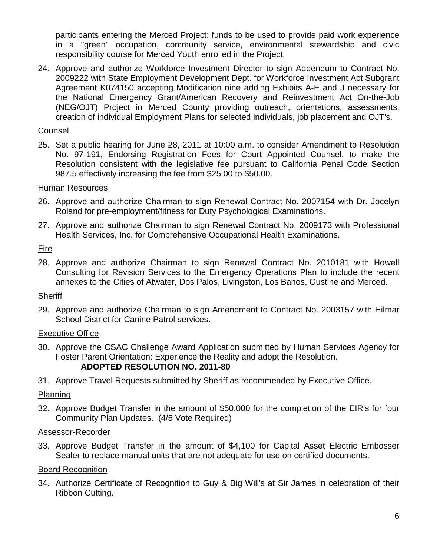participants entering the Merced Project; funds to be used to provide paid work experience in a "green" occupation, community service, environmental stewardship and civic responsibility course for Merced Youth enrolled in the Project.

24. Approve and authorize Workforce Investment Director to sign Addendum to Contract No. 2009222 with State Employment Development Dept. for Workforce Investment Act Subgrant Agreement K074150 accepting Modification nine adding Exhibits A-E and J necessary for the National Emergency Grant/American Recovery and Reinvestment Act On-the-Job (NEG/OJT) Project in Merced County providing outreach, orientations, assessments, creation of individual Employment Plans for selected individuals, job placement and OJT's.

# Counsel

25. Set a public hearing for June 28, 2011 at 10:00 a.m. to consider Amendment to Resolution No. 97-191, Endorsing Registration Fees for Court Appointed Counsel, to make the Resolution consistent with the legislative fee pursuant to California Penal Code Section 987.5 effectively increasing the fee from \$25.00 to \$50.00.

#### Human Resources

- 26. Approve and authorize Chairman to sign Renewal Contract No. 2007154 with Dr. Jocelyn Roland for pre-employment/fitness for Duty Psychological Examinations.
- 27. Approve and authorize Chairman to sign Renewal Contract No. 2009173 with Professional Health Services, Inc. for Comprehensive Occupational Health Examinations.

#### Fire

28. Approve and authorize Chairman to sign Renewal Contract No. 2010181 with Howell Consulting for Revision Services to the Emergency Operations Plan to include the recent annexes to the Cities of Atwater, Dos Palos, Livingston, Los Banos, Gustine and Merced.

#### Sheriff

29. Approve and authorize Chairman to sign Amendment to Contract No. 2003157 with Hilmar School District for Canine Patrol services.

# Executive Office

- 30. Approve the CSAC Challenge Award Application submitted by Human Services Agency for Foster Parent Orientation: Experience the Reality and adopt the Resolution. **ADOPTED RESOLUTION NO. 2011-80**
- 31. Approve Travel Requests submitted by Sheriff as recommended by Executive Office.

#### Planning

32. Approve Budget Transfer in the amount of \$50,000 for the completion of the EIR's for four Community Plan Updates. (4/5 Vote Required)

#### Assessor-Recorder

33. Approve Budget Transfer in the amount of \$4,100 for Capital Asset Electric Embosser Sealer to replace manual units that are not adequate for use on certified documents.

#### Board Recognition

34. Authorize Certificate of Recognition to Guy & Big Will's at Sir James in celebration of their Ribbon Cutting.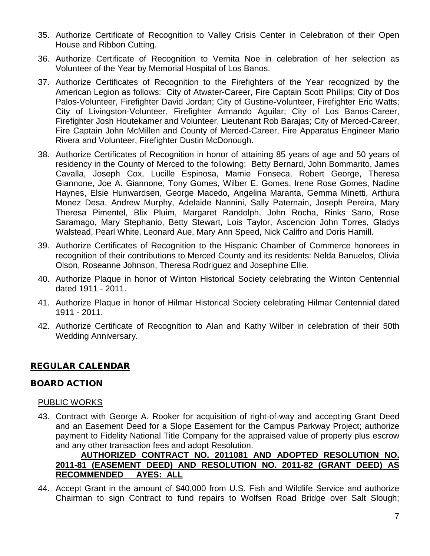- 35. Authorize Certificate of Recognition to Valley Crisis Center in Celebration of their Open House and Ribbon Cutting.
- 36. Authorize Certificate of Recognition to Vernita Noe in celebration of her selection as Volunteer of the Year by Memorial Hospital of Los Banos.
- 37. Authorize Certificates of Recognition to the Firefighters of the Year recognized by the American Legion as follows: City of Atwater-Career, Fire Captain Scott Phillips; City of Dos Palos-Volunteer, Firefighter David Jordan; City of Gustine-Volunteer, Firefighter Eric Watts; City of Livingston-Volunteer, Firefighter Armando Aguilar; City of Los Banos-Career, Firefighter Josh Houtekamer and Volunteer, Lieutenant Rob Barajas; City of Merced-Career, Fire Captain John McMillen and County of Merced-Career, Fire Apparatus Engineer Mario Rivera and Volunteer, Firefighter Dustin McDonough.
- 38. Authorize Certificates of Recognition in honor of attaining 85 years of age and 50 years of residency in the County of Merced to the following: Betty Bernard, John Bommarito, James Cavalla, Joseph Cox, Lucille Espinosa, Mamie Fonseca, Robert George, Theresa Giannone, Joe A. Giannone, Tony Gomes, Wilber E. Gomes, Irene Rose Gomes, Nadine Haynes, Elsie Hunwardsen, George Macedo, Angelina Maranta, Gemma Minetti, Arthura Monez Desa, Andrew Murphy, Adelaide Nannini, Sally Paternain, Joseph Pereira, Mary Theresa Pimentel, Blix Pluim, Margaret Randolph, John Rocha, Rinks Sano, Rose Saramago, Mary Stephanio, Betty Stewart, Lois Taylor, Ascencion John Torres, Gladys Walstead, Pearl White, Leonard Aue, Mary Ann Speed, Nick Califro and Doris Hamill.
- 39. Authorize Certificates of Recognition to the Hispanic Chamber of Commerce honorees in recognition of their contributions to Merced County and its residents: Nelda Banuelos, Olivia Olson, Roseanne Johnson, Theresa Rodriguez and Josephine Ellie.
- 40. Authorize Plaque in honor of Winton Historical Society celebrating the Winton Centennial dated 1911 - 2011.
- 41. Authorize Plaque in honor of Hilmar Historical Society celebrating Hilmar Centennial dated 1911 - 2011.
- 42. Authorize Certificate of Recognition to Alan and Kathy Wilber in celebration of their 50th Wedding Anniversary.

# REGULAR CALENDAR

# BOARD ACTION

#### PUBLIC WORKS

43. Contract with George A. Rooker for acquisition of right-of-way and accepting Grant Deed and an Easement Deed for a Slope Easement for the Campus Parkway Project; authorize payment to Fidelity National Title Company for the appraised value of property plus escrow and any other transaction fees and adopt Resolution.

## **AUTHORIZED CONTRACT NO. 2011081 AND ADOPTED RESOLUTION NO. 2011-81 (EASEMENT DEED) AND RESOLUTION NO. 2011-82 (GRANT DEED) AS RECOMMENDED AYES: ALL**

44. Accept Grant in the amount of \$40,000 from U.S. Fish and Wildlife Service and authorize Chairman to sign Contract to fund repairs to Wolfsen Road Bridge over Salt Slough;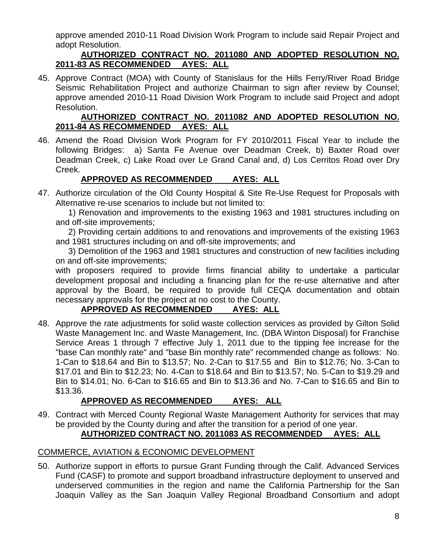approve amended 2010-11 Road Division Work Program to include said Repair Project and adopt Resolution.

# **AUTHORIZED CONTRACT NO. 2011080 AND ADOPTED RESOLUTION NO. 2011-83 AS RECOMMENDED AYES: ALL**

45. Approve Contract (MOA) with County of Stanislaus for the Hills Ferry/River Road Bridge Seismic Rehabilitation Project and authorize Chairman to sign after review by Counsel; approve amended 2010-11 Road Division Work Program to include said Project and adopt Resolution.

#### **AUTHORIZED CONTRACT NO. 2011082 AND ADOPTED RESOLUTION NO. 2011-84 AS RECOMMENDED AYES: ALL**

46. Amend the Road Division Work Program for FY 2010/2011 Fiscal Year to include the following Bridges: a) Santa Fe Avenue over Deadman Creek, b) Baxter Road over Deadman Creek, c) Lake Road over Le Grand Canal and, d) Los Cerritos Road over Dry Creek.

# **APPROVED AS RECOMMENDED AYES: ALL**

47. Authorize circulation of the Old County Hospital & Site Re-Use Request for Proposals with Alternative re-use scenarios to include but not limited to:

1) Renovation and improvements to the existing 1963 and 1981 structures including on and off-site improvements;

2) Providing certain additions to and renovations and improvements of the existing 1963 and 1981 structures including on and off-site improvements; and

3) Demolition of the 1963 and 1981 structures and construction of new facilities including on and off-site improvements;

with proposers required to provide firms financial ability to undertake a particular development proposal and including a financing plan for the re-use alternative and after approval by the Board, be required to provide full CEQA documentation and obtain necessary approvals for the project at no cost to the County.

# **APPROVED AS RECOMMENDED AYES: ALL**

48. Approve the rate adjustments for solid waste collection services as provided by Gilton Solid Waste Management Inc. and Waste Management, Inc. (DBA Winton Disposal) for Franchise Service Areas 1 through 7 effective July 1, 2011 due to the tipping fee increase for the "base Can monthly rate" and "base Bin monthly rate" recommended change as follows: No. 1-Can to \$18.64 and Bin to \$13.57; No. 2-Can to \$17.55 and Bin to \$12.76; No. 3-Can to \$17.01 and Bin to \$12.23; No. 4-Can to \$18.64 and Bin to \$13.57; No. 5-Can to \$19.29 and Bin to \$14.01; No. 6-Can to \$16.65 and Bin to \$13.36 and No. 7-Can to \$16.65 and Bin to \$13.36.

# **APPROVED AS RECOMMENDED AYES: ALL**

49. Contract with Merced County Regional Waste Management Authority for services that may be provided by the County during and after the transition for a period of one year.

# **AUTHORIZED CONTRACT NO. 2011083 AS RECOMMENDED AYES: ALL**

# COMMERCE, AVIATION & ECONOMIC DEVELOPMENT

50. Authorize support in efforts to pursue Grant Funding through the Calif. Advanced Services Fund (CASF) to promote and support broadband infrastructure deployment to unserved and underserved communities in the region and name the California Partnership for the San Joaquin Valley as the San Joaquin Valley Regional Broadband Consortium and adopt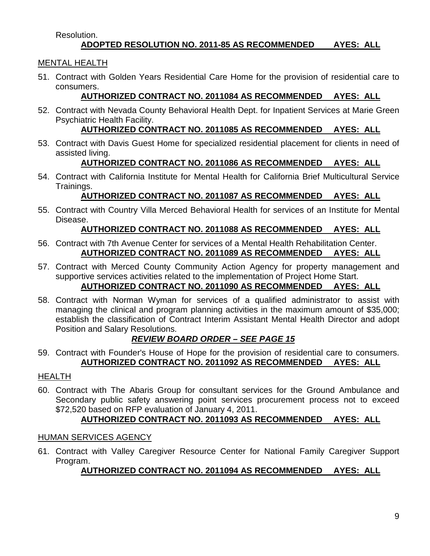#### Resolution. **ADOPTED RESOLUTION NO. 2011-85 AS RECOMMENDED AYES: ALL**

# MENTAL HEALTH

51. Contract with Golden Years Residential Care Home for the provision of residential care to consumers.

# **AUTHORIZED CONTRACT NO. 2011084 AS RECOMMENDED AYES: ALL**

52. Contract with Nevada County Behavioral Health Dept. for Inpatient Services at Marie Green Psychiatric Health Facility.

# **AUTHORIZED CONTRACT NO. 2011085 AS RECOMMENDED AYES: ALL**

53. Contract with Davis Guest Home for specialized residential placement for clients in need of assisted living.

# **AUTHORIZED CONTRACT NO. 2011086 AS RECOMMENDED AYES: ALL**

54. Contract with California Institute for Mental Health for California Brief Multicultural Service Trainings.

# **AUTHORIZED CONTRACT NO. 2011087 AS RECOMMENDED AYES: ALL**

55. Contract with Country Villa Merced Behavioral Health for services of an Institute for Mental Disease.

# **AUTHORIZED CONTRACT NO. 2011088 AS RECOMMENDED AYES: ALL**

- 56. Contract with 7th Avenue Center for services of a Mental Health Rehabilitation Center. **AUTHORIZED CONTRACT NO. 2011089 AS RECOMMENDED AYES: ALL**
- 57. Contract with Merced County Community Action Agency for property management and supportive services activities related to the implementation of Project Home Start. **AUTHORIZED CONTRACT NO. 2011090 AS RECOMMENDED AYES: ALL**
- 58. Contract with Norman Wyman for services of a qualified administrator to assist with managing the clinical and program planning activities in the maximum amount of \$35,000; establish the classification of Contract Interim Assistant Mental Health Director and adopt Position and Salary Resolutions.

# *REVIEW BOARD ORDER – SEE PAGE 15*

59. Contract with Founder's House of Hope for the provision of residential care to consumers. **AUTHORIZED CONTRACT NO. 2011092 AS RECOMMENDED AYES: ALL**

# HEALTH

60. Contract with The Abaris Group for consultant services for the Ground Ambulance and Secondary public safety answering point services procurement process not to exceed \$72,520 based on RFP evaluation of January 4, 2011.

# **AUTHORIZED CONTRACT NO. 2011093 AS RECOMMENDED AYES: ALL**

# HUMAN SERVICES AGENCY

61. Contract with Valley Caregiver Resource Center for National Family Caregiver Support Program.

# **AUTHORIZED CONTRACT NO. 2011094 AS RECOMMENDED AYES: ALL**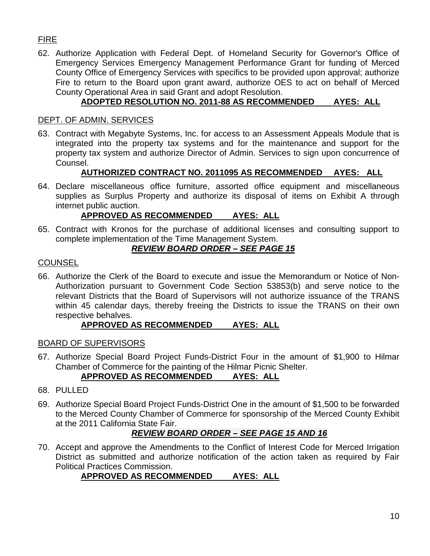# FIRE

62. Authorize Application with Federal Dept. of Homeland Security for Governor's Office of Emergency Services Emergency Management Performance Grant for funding of Merced County Office of Emergency Services with specifics to be provided upon approval; authorize Fire to return to the Board upon grant award, authorize OES to act on behalf of Merced County Operational Area in said Grant and adopt Resolution.

# **ADOPTED RESOLUTION NO. 2011-88 AS RECOMMENDED AYES: ALL**

#### DEPT. OF ADMIN. SERVICES

63. Contract with Megabyte Systems, Inc. for access to an Assessment Appeals Module that is integrated into the property tax systems and for the maintenance and support for the property tax system and authorize Director of Admin. Services to sign upon concurrence of Counsel.

# **AUTHORIZED CONTRACT NO. 2011095 AS RECOMMENDED AYES: ALL**

64. Declare miscellaneous office furniture, assorted office equipment and miscellaneous supplies as Surplus Property and authorize its disposal of items on Exhibit A through internet public auction.

# **APPROVED AS RECOMMENDED AYES: ALL**

65. Contract with Kronos for the purchase of additional licenses and consulting support to complete implementation of the Time Management System.

# *REVIEW BOARD ORDER – SEE PAGE 15*

#### **COUNSEL**

66. Authorize the Clerk of the Board to execute and issue the Memorandum or Notice of Non-Authorization pursuant to Government Code Section 53853(b) and serve notice to the relevant Districts that the Board of Supervisors will not authorize issuance of the TRANS within 45 calendar days, thereby freeing the Districts to issue the TRANS on their own respective behalves.

#### **APPROVED AS RECOMMENDED AYES: ALL**

# BOARD OF SUPERVISORS

67. Authorize Special Board Project Funds-District Four in the amount of \$1,900 to Hilmar Chamber of Commerce for the painting of the Hilmar Picnic Shelter.

# **APPROVED AS RECOMMENDED AYES: ALL**

- 68. PULLED
- 69. Authorize Special Board Project Funds-District One in the amount of \$1,500 to be forwarded to the Merced County Chamber of Commerce for sponsorship of the Merced County Exhibit at the 2011 California State Fair.

# *REVIEW BOARD ORDER – SEE PAGE 15 AND 16*

70. Accept and approve the Amendments to the Conflict of Interest Code for Merced Irrigation District as submitted and authorize notification of the action taken as required by Fair Political Practices Commission.

# **APPROVED AS RECOMMENDED AYES: ALL**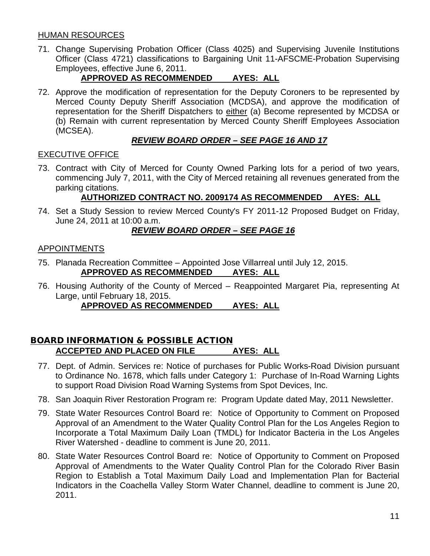#### HUMAN RESOURCES

71. Change Supervising Probation Officer (Class 4025) and Supervising Juvenile Institutions Officer (Class 4721) classifications to Bargaining Unit 11-AFSCME-Probation Supervising Employees, effective June 6, 2011.

# **APPROVED AS RECOMMENDED AYES: ALL**

72. Approve the modification of representation for the Deputy Coroners to be represented by Merced County Deputy Sheriff Association (MCDSA), and approve the modification of representation for the Sheriff Dispatchers to either (a) Become represented by MCDSA or (b) Remain with current representation by Merced County Sheriff Employees Association (MCSEA).

# *REVIEW BOARD ORDER – SEE PAGE 16 AND 17*

#### EXECUTIVE OFFICE

73. Contract with City of Merced for County Owned Parking lots for a period of two years, commencing July 7, 2011, with the City of Merced retaining all revenues generated from the parking citations.

# **AUTHORIZED CONTRACT NO. 2009174 AS RECOMMENDED AYES: ALL**

74. Set a Study Session to review Merced County's FY 2011-12 Proposed Budget on Friday, June 24, 2011 at 10:00 a.m.

# *REVIEW BOARD ORDER – SEE PAGE 16*

#### APPOINTMENTS

- 75. Planada Recreation Committee Appointed Jose Villarreal until July 12, 2015.<br>**APPROVED AS RECOMMENDED AYES: ALL APPROVED AS RECOMMENDED**
- 76. Housing Authority of the County of Merced Reappointed Margaret Pia, representing At Large, until February 18, 2015.

# **APPROVED AS RECOMMENDED AYES: ALL**

#### BOARD INFORMATION & POSSIBLE ACTION **ACCEPTED AND PLACED ON FILE AYES: ALL**

- 77. Dept. of Admin. Services re: Notice of purchases for Public Works-Road Division pursuant to Ordinance No. 1678, which falls under Category 1: Purchase of In-Road Warning Lights to support Road Division Road Warning Systems from Spot Devices, Inc.
- 78. San Joaquin River Restoration Program re: Program Update dated May, 2011 Newsletter.
- 79. State Water Resources Control Board re: Notice of Opportunity to Comment on Proposed Approval of an Amendment to the Water Quality Control Plan for the Los Angeles Region to Incorporate a Total Maximum Daily Loan (TMDL) for Indicator Bacteria in the Los Angeles River Watershed - deadline to comment is June 20, 2011.
- 80. State Water Resources Control Board re: Notice of Opportunity to Comment on Proposed Approval of Amendments to the Water Quality Control Plan for the Colorado River Basin Region to Establish a Total Maximum Daily Load and Implementation Plan for Bacterial Indicators in the Coachella Valley Storm Water Channel, deadline to comment is June 20, 2011.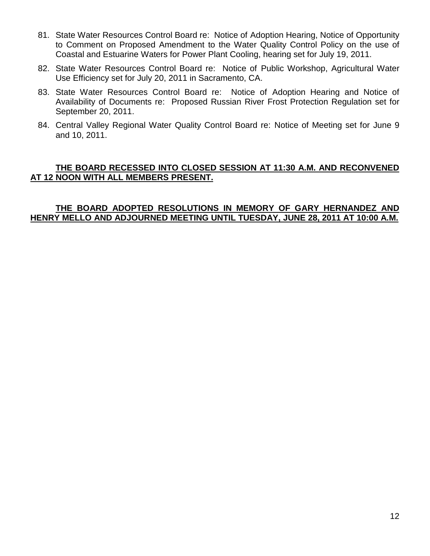- 81. State Water Resources Control Board re: Notice of Adoption Hearing, Notice of Opportunity to Comment on Proposed Amendment to the Water Quality Control Policy on the use of Coastal and Estuarine Waters for Power Plant Cooling, hearing set for July 19, 2011.
- 82. State Water Resources Control Board re: Notice of Public Workshop, Agricultural Water Use Efficiency set for July 20, 2011 in Sacramento, CA.
- 83. State Water Resources Control Board re: Notice of Adoption Hearing and Notice of Availability of Documents re: Proposed Russian River Frost Protection Regulation set for September 20, 2011.
- 84. Central Valley Regional Water Quality Control Board re: Notice of Meeting set for June 9 and 10, 2011.

# **THE BOARD RECESSED INTO CLOSED SESSION AT 11:30 A.M. AND RECONVENED AT 12 NOON WITH ALL MEMBERS PRESENT.**

#### **THE BOARD ADOPTED RESOLUTIONS IN MEMORY OF GARY HERNANDEZ AND HENRY MELLO AND ADJOURNED MEETING UNTIL TUESDAY, JUNE 28, 2011 AT 10:00 A.M.**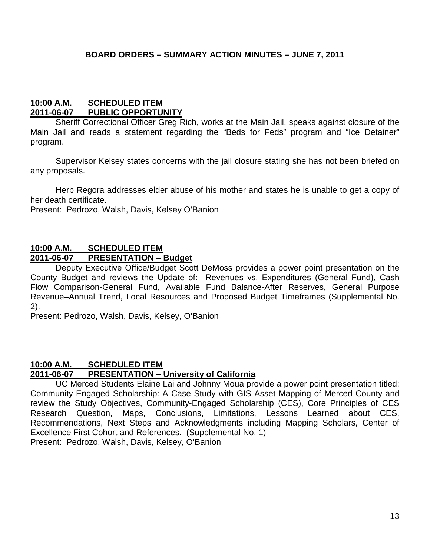#### **10:00 A.M. SCHEDULED ITEM 2011-06-07 PUBLIC OPPORTUNITY**

Sheriff Correctional Officer Greg Rich, works at the Main Jail, speaks against closure of the Main Jail and reads a statement regarding the "Beds for Feds" program and "Ice Detainer" program.

Supervisor Kelsey states concerns with the jail closure stating she has not been briefed on any proposals.

Herb Regora addresses elder abuse of his mother and states he is unable to get a copy of her death certificate.

Present: Pedrozo, Walsh, Davis, Kelsey O'Banion

# **10:00 A.M. SCHEDULED ITEM**

#### **2011-06-07 PRESENTATION – Budget**

Deputy Executive Office/Budget Scott DeMoss provides a power point presentation on the County Budget and reviews the Update of: Revenues vs. Expenditures (General Fund), Cash Flow Comparison-General Fund, Available Fund Balance-After Reserves, General Purpose Revenue–Annual Trend, Local Resources and Proposed Budget Timeframes (Supplemental No. 2).

Present: Pedrozo, Walsh, Davis, Kelsey, O'Banion

# **10:00 A.M. SCHEDULED ITEM**

# **2011-06-07 PRESENTATION – University of California**

UC Merced Students Elaine Lai and Johnny Moua provide a power point presentation titled: Community Engaged Scholarship: A Case Study with GIS Asset Mapping of Merced County and review the Study Objectives, Community-Engaged Scholarship (CES), Core Principles of CES Research Question, Maps, Conclusions, Limitations, Lessons Learned about CES, Recommendations, Next Steps and Acknowledgments including Mapping Scholars, Center of Excellence First Cohort and References. (Supplemental No. 1)

Present: Pedrozo, Walsh, Davis, Kelsey, O'Banion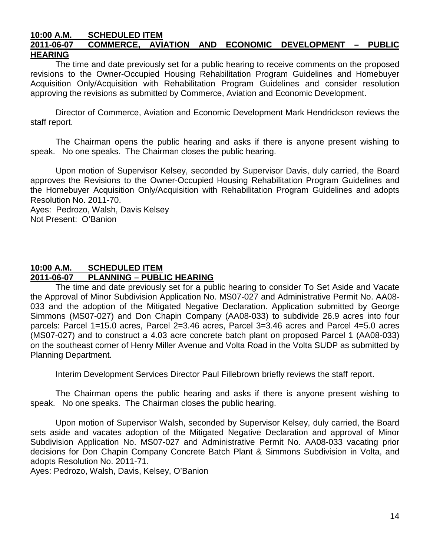#### **10:00 A.M. SCHEDULED ITEM 2011-06-07 COMMERCE, AVIATION AND ECONOMIC DEVELOPMENT – PUBLIC HEARING**

The time and date previously set for a public hearing to receive comments on the proposed revisions to the Owner-Occupied Housing Rehabilitation Program Guidelines and Homebuyer Acquisition Only/Acquisition with Rehabilitation Program Guidelines and consider resolution approving the revisions as submitted by Commerce, Aviation and Economic Development.

Director of Commerce, Aviation and Economic Development Mark Hendrickson reviews the staff report.

The Chairman opens the public hearing and asks if there is anyone present wishing to speak. No one speaks. The Chairman closes the public hearing.

Upon motion of Supervisor Kelsey, seconded by Supervisor Davis, duly carried, the Board approves the Revisions to the Owner-Occupied Housing Rehabilitation Program Guidelines and the Homebuyer Acquisition Only/Acquisition with Rehabilitation Program Guidelines and adopts Resolution No. 2011-70.

Ayes: Pedrozo, Walsh, Davis Kelsey Not Present: O'Banion

# **10:00 A.M. SCHEDULED ITEM 2011-06-07 PLANNING – PUBLIC HEARING**

The time and date previously set for a public hearing to consider To Set Aside and Vacate the Approval of Minor Subdivision Application No. MS07-027 and Administrative Permit No. AA08- 033 and the adoption of the Mitigated Negative Declaration. Application submitted by George Simmons (MS07-027) and Don Chapin Company (AA08-033) to subdivide 26.9 acres into four parcels: Parcel 1=15.0 acres, Parcel 2=3.46 acres, Parcel 3=3.46 acres and Parcel 4=5.0 acres (MS07-027) and to construct a 4.03 acre concrete batch plant on proposed Parcel 1 (AA08-033) on the southeast corner of Henry Miller Avenue and Volta Road in the Volta SUDP as submitted by Planning Department.

Interim Development Services Director Paul Fillebrown briefly reviews the staff report.

The Chairman opens the public hearing and asks if there is anyone present wishing to speak. No one speaks. The Chairman closes the public hearing.

Upon motion of Supervisor Walsh, seconded by Supervisor Kelsey, duly carried, the Board sets aside and vacates adoption of the Mitigated Negative Declaration and approval of Minor Subdivision Application No. MS07-027 and Administrative Permit No. AA08-033 vacating prior decisions for Don Chapin Company Concrete Batch Plant & Simmons Subdivision in Volta, and adopts Resolution No. 2011-71.

Ayes: Pedrozo, Walsh, Davis, Kelsey, O'Banion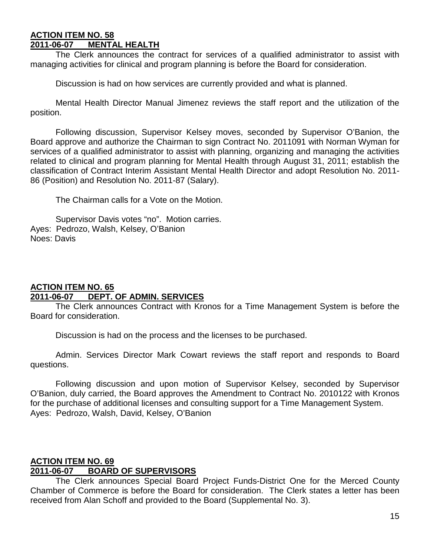#### **ACTION ITEM NO. 58 2011-06-07 MENTAL HEALTH**

The Clerk announces the contract for services of a qualified administrator to assist with managing activities for clinical and program planning is before the Board for consideration.

Discussion is had on how services are currently provided and what is planned.

Mental Health Director Manual Jimenez reviews the staff report and the utilization of the position.

Following discussion, Supervisor Kelsey moves, seconded by Supervisor O'Banion, the Board approve and authorize the Chairman to sign Contract No. 2011091 with Norman Wyman for services of a qualified administrator to assist with planning, organizing and managing the activities related to clinical and program planning for Mental Health through August 31, 2011; establish the classification of Contract Interim Assistant Mental Health Director and adopt Resolution No. 2011- 86 (Position) and Resolution No. 2011-87 (Salary).

The Chairman calls for a Vote on the Motion.

Supervisor Davis votes "no". Motion carries. Ayes: Pedrozo, Walsh, Kelsey, O'Banion Noes: Davis

#### **ACTION ITEM NO. 65 2011-06-07 DEPT. OF ADMIN. SERVICES**

The Clerk announces Contract with Kronos for a Time Management System is before the Board for consideration.

Discussion is had on the process and the licenses to be purchased.

Admin. Services Director Mark Cowart reviews the staff report and responds to Board questions.

Following discussion and upon motion of Supervisor Kelsey, seconded by Supervisor O'Banion, duly carried, the Board approves the Amendment to Contract No. 2010122 with Kronos for the purchase of additional licenses and consulting support for a Time Management System. Ayes: Pedrozo, Walsh, David, Kelsey, O'Banion

# **ACTION ITEM NO. 69 2011-06-07 BOARD OF SUPERVISORS**

The Clerk announces Special Board Project Funds-District One for the Merced County Chamber of Commerce is before the Board for consideration. The Clerk states a letter has been received from Alan Schoff and provided to the Board (Supplemental No. 3).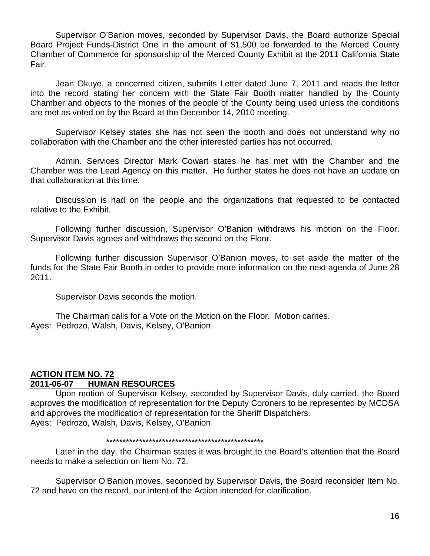Supervisor O'Banion moves, seconded by Supervisor Davis, the Board authorize Special Board Project Funds-District One in the amount of \$1,500 be forwarded to the Merced County Chamber of Commerce for sponsorship of the Merced County Exhibit at the 2011 California State Fair.

Jean Okuye, a concerned citizen, submits Letter dated June 7, 2011 and reads the letter into the record stating her concern with the State Fair Booth matter handled by the County Chamber and objects to the monies of the people of the County being used unless the conditions are met as voted on by the Board at the December 14, 2010 meeting.

Supervisor Kelsey states she has not seen the booth and does not understand why no collaboration with the Chamber and the other interested parties has not occurred.

Admin. Services Director Mark Cowart states he has met with the Chamber and the Chamber was the Lead Agency on this matter. He further states he does not have an update on that collaboration at this time.

Discussion is had on the people and the organizations that requested to be contacted relative to the Exhibit.

Following further discussion, Supervisor O'Banion withdraws his motion on the Floor. Supervisor Davis agrees and withdraws the second on the Floor.

Following further discussion Supervisor O'Banion moves, to set aside the matter of the funds for the State Fair Booth in order to provide more information on the next agenda of June 28 2011.

Supervisor Davis seconds the motion.

The Chairman calls for a Vote on the Motion on the Floor. Motion carries. Ayes: Pedrozo, Walsh, Davis, Kelsey, O'Banion

#### **ACTION ITEM NO. 72 2011-06-07 HUMAN RESOURCES**

Upon motion of Supervisor Kelsey, seconded by Supervisor Davis, duly carried, the Board approves the modification of representation for the Deputy Coroners to be represented by MCDSA and approves the modification of representation for the Sheriff Dispatchers. Ayes: Pedrozo, Walsh, Davis, Kelsey, O'Banion

#### \*\*\*\*\*\*\*\*\*\*\*\*\*\*\*\*\*\*\*\*\*\*\*\*\*\*\*\*\*\*\*\*\*\*\*\*\*\*\*\*\*\*\*\*\*\*\*\*

Later in the day, the Chairman states it was brought to the Board's attention that the Board needs to make a selection on Item No. 72.

Supervisor O'Banion moves, seconded by Supervisor Davis, the Board reconsider Item No. 72 and have on the record, our intent of the Action intended for clarification.